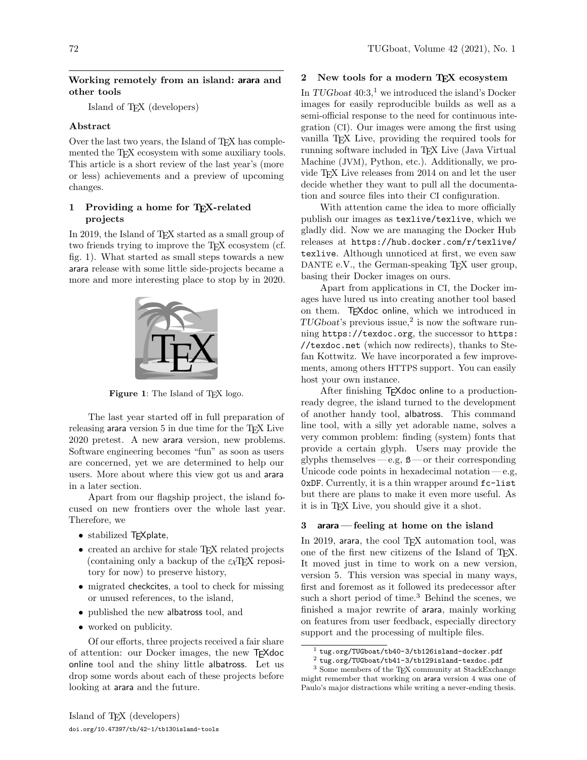### Working remotely from an island: arara and other tools

Island of TEX (developers)

# Abstract

Over the last two years, the Island of T<sub>E</sub>X has complemented the TEX ecosystem with some auxiliary tools. This article is a short review of the last year's (more or less) achievements and a preview of upcoming changes.

# 1 Providing a home for TEX-related projects

In 2019, the Island of T<sub>EX</sub> started as a small group of two friends trying to improve the TEX ecosystem (cf. fig. [1\)](#page-0-0). What started as small steps towards a new arara release with some little side-projects became a more and more interesting place to stop by in 2020.



Figure 1: The Island of TEX logo.

<span id="page-0-0"></span>The last year started off in full preparation of releasing arara version 5 in due time for the TEX Live 2020 pretest. A new arara version, new problems. Software engineering becomes "fun" as soon as users are concerned, yet we are determined to help our users. More about where this view got us and arara in a later section.

Apart from our flagship project, the island focused on new frontiers over the whole last year. Therefore, we

- stabilized T<sub>F</sub>Xplate,
- created an archive for stale T<sub>EX</sub> related projects (containing only a backup of the  $\varepsilon_{\chi}$ T<sub>F</sub>X repository for now) to preserve history,
- migrated checkcites, a tool to check for missing or unused references, to the island,
- published the new albatross tool, and
- worked on publicity.

Of our efforts, three projects received a fair share of attention: our Docker images, the new TEXdoc online tool and the shiny little albatross. Let us drop some words about each of these projects before looking at arara and the future.

### 2 New tools for a modern TEX ecosystem

In TUGboat  $40:3<sup>1</sup>$  $40:3<sup>1</sup>$  $40:3<sup>1</sup>$  we introduced the island's Docker images for easily reproducible builds as well as a semi-official response to the need for continuous integration (CI). Our images were among the first using vanilla TEX Live, providing the required tools for running software included in TEX Live (Java Virtual Machine (JVM), Python, etc.). Additionally, we provide TEX Live releases from 2014 on and let the user decide whether they want to pull all the documentation and source files into their CI configuration.

With attention came the idea to more officially publish our images as texlive/texlive, which we gladly did. Now we are managing the Docker Hub releases at [https://hub.docker.com/r/texlive/](https://hub.docker.com/r/texlive/texlive) [texlive](https://hub.docker.com/r/texlive/texlive). Although unnoticed at first, we even saw DANTE e.V., the German-speaking T<sub>EX</sub> user group, basing their Docker images on ours.

Apart from applications in CI, the Docker images have lured us into creating another tool based on them. TEXdoc online, which we introduced in  $TUGboat$ 's previous issue,<sup>[2](#page-0-2)</sup> is now the software running <https://texdoc.org>, the successor to [https:](https://texdoc.net) [//texdoc.net](https://texdoc.net) (which now redirects), thanks to Stefan Kottwitz. We have incorporated a few improvements, among others HTTPS support. You can easily host your own instance.

After finishing T<sub>F</sub>Xdoc online to a productionready degree, the island turned to the development of another handy tool, albatross. This command line tool, with a silly yet adorable name, solves a very common problem: finding (system) fonts that provide a certain glyph. Users may provide the glyphs themselves — e.g,  $\beta$  — or their corresponding Unicode code points in hexadecimal notation— $e.g.$ 0xDF. Currently, it is a thin wrapper around fc-list but there are plans to make it even more useful. As it is in TEX Live, you should give it a shot.

#### 3 arara — feeling at home on the island

In 2019, arara, the cool TFX automation tool, was one of the first new citizens of the Island of TEX. It moved just in time to work on a new version, version 5. This version was special in many ways, first and foremost as it followed its predecessor after such a short period of time.<sup>[3](#page-0-3)</sup> Behind the scenes, we finished a major rewrite of arara, mainly working on features from user feedback, especially directory support and the processing of multiple files.

<span id="page-0-1"></span> $1$  [tug.org/TUGboat/tb40-3/tb126island-docker.pdf](https://tug.org/TUGboat/tb40-3/tb126island-docker.pdf)

<span id="page-0-3"></span><span id="page-0-2"></span><sup>2</sup> [tug.org/TUGboat/tb41-3/tb129island-texdoc.pdf](https://tug.org/TUGboat/tb41-3/tb129island-texdoc.pdf)

<sup>3</sup> Some members of the TEX community at StackExchange might remember that working on arara version 4 was one of Paulo's major distractions while writing a never-ending thesis.